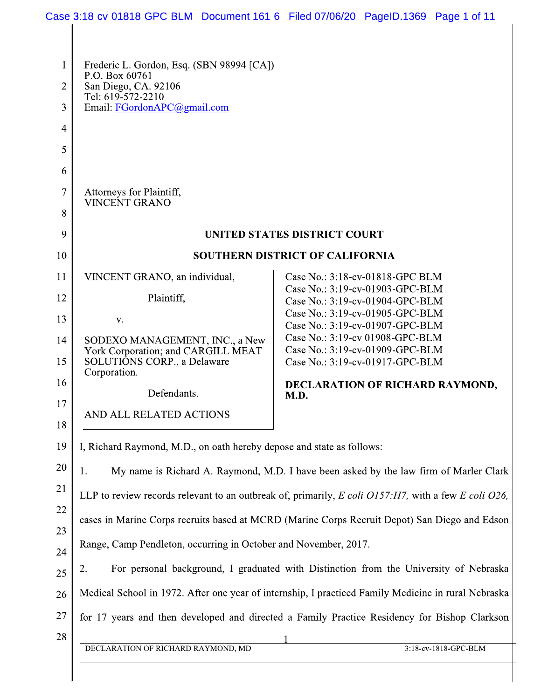| 1        | Frederic L. Gordon, Esq. (SBN 98994 [CA])<br>P.O. Box 60761<br>San Diego, CA. 92106<br>Tel: 619-572-2210            |                                                                    |  |
|----------|---------------------------------------------------------------------------------------------------------------------|--------------------------------------------------------------------|--|
| 2        |                                                                                                                     |                                                                    |  |
| 3        | Email: FGordonAPC@gmail.com                                                                                         |                                                                    |  |
| 4        |                                                                                                                     |                                                                    |  |
| 5        |                                                                                                                     |                                                                    |  |
| 6        |                                                                                                                     |                                                                    |  |
| 7<br>8   | Attorneys for Plaintiff,<br><b>VINCENT GRANO</b>                                                                    |                                                                    |  |
| 9        | <b>UNITED STATES DISTRICT COURT</b>                                                                                 |                                                                    |  |
| 10       | <b>SOUTHERN DISTRICT OF CALIFORNIA</b>                                                                              |                                                                    |  |
| 11       | VINCENT GRANO, an individual,                                                                                       | Case No.: 3:18-cv-01818-GPC BLM                                    |  |
| 12       | Plaintiff,                                                                                                          | Case No.: 3:19-cv-01903-GPC-BLM<br>Case No.: 3:19-cv-01904-GPC-BLM |  |
| 13       | V.                                                                                                                  | Case No.: 3:19-cv-01905-GPC-BLM                                    |  |
|          |                                                                                                                     | Case No.: 3:19-cv-01907-GPC-BLM<br>Case No.: 3:19-cv 01908-GPC-BLM |  |
| 14<br>15 | SODEXO MANAGEMENT, INC., a New<br>York Corporation; and CARGILL MEAT<br>SOLUTIONS CORP., a Delaware<br>Corporation. | Case No.: 3:19-cv-01909-GPC-BLM<br>Case No.: 3:19-cv-01917-GPC-BLM |  |
| 16       | Defendants.                                                                                                         | DECLARATION OF RICHARD RAYMOND,                                    |  |
| 17       |                                                                                                                     | M.D.                                                               |  |
| 18       | AND ALL RELATED ACTIONS                                                                                             |                                                                    |  |
| 19       | I, Richard Raymond, M.D., on oath hereby depose and state as follows:                                               |                                                                    |  |
| 20       | My name is Richard A. Raymond, M.D. I have been asked by the law firm of Marler Clark<br>1.                         |                                                                    |  |
| 21       | LLP to review records relevant to an outbreak of, primarily, E coli O157:H7, with a few E coli O26,                 |                                                                    |  |
| 22       |                                                                                                                     |                                                                    |  |
| 23       | cases in Marine Corps recruits based at MCRD (Marine Corps Recruit Depot) San Diego and Edson                       |                                                                    |  |
| 24       | Range, Camp Pendleton, occurring in October and November, 2017.                                                     |                                                                    |  |
| 25       | For personal background, I graduated with Distinction from the University of Nebraska<br>2.                         |                                                                    |  |
| 26       | Medical School in 1972. After one year of internship, I practiced Family Medicine in rural Nebraska                 |                                                                    |  |
| 27       | for 17 years and then developed and directed a Family Practice Residency for Bishop Clarkson                        |                                                                    |  |
| 28       |                                                                                                                     |                                                                    |  |
|          | DECLARATION OF RICHARD RAYMOND, MD                                                                                  | 3:18-cv-1818-GPC-BLM                                               |  |

II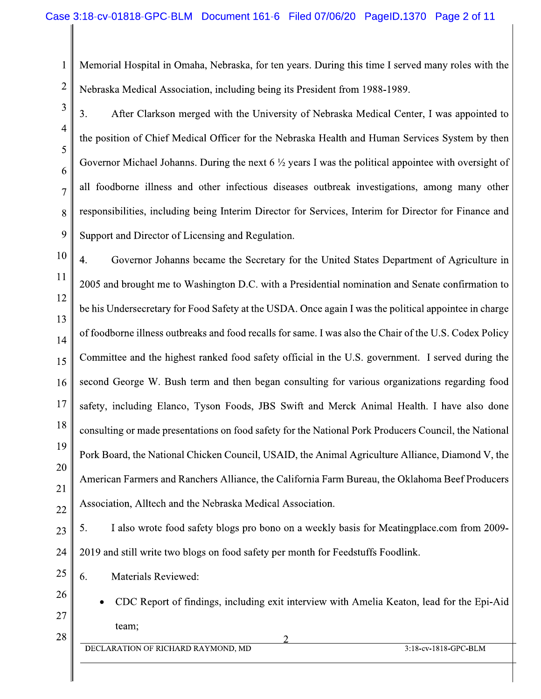Memorial Hospital in Omaha, Nebraska, for ten years. During this time I served many roles with the Nebraska Medical Association, including being its President from 1988-1989.

3. After Clarkson merged with the University of Nebraska Medical Center, I was appointed to the position of Chief Medical Officer for the Nebraska Health and Human Services System by then Governor Michael Johanns. During the next  $6\frac{1}{2}$  years I was the political appointee with oversight of all foodborne illness and other infectious diseases outbreak investigations, among many other responsibilities, including being Interim Director for Services, Interim for Director for Finance and Support and Director of Licensing and Regulation.

10 4. Governor Johanns became the Secretary for the United States Department of Agriculture in 11 2005 and brought me to Washington D.C. with a Presidential nomination and Senate confirmation to 12 be his Undersecretary for Food Safety at the USDA. Once again I was the political appointee in charge 13 of foodborne illness outbreaks and food recalls for same. I was also the Chair of the U.S. Codex Policy 14 Committee and the highest ranked food safety official in the U.S. government. I served during the 15 second George W. Bush term and then began consulting for various organizations regarding food 16 17 safety, including Elanco, Tyson Foods, JBS Swift and Merck Animal Health. I have also done 18 consulting or made presentations on food safety for the National Pork Producers Council, the National 19 Pork Board, the National Chicken Council, USAID, the Animal Agriculture Alliance, Diamond V, the 20 American Farmers and Ranchers Alliance, the California Farm Bureau, the Oklahoma Beef Producers 21 Association, Alltech and the Nebraska Medical Association. 22

5. I also wrote food safety blogs pro bono on a weekly basis for Meatingplace.com from 2009-2019 and still write two blogs on food safety per month for Feedstuffs Foodlink.

6. Materials Reviewed:

1

 $\overline{2}$ 

3

 $\overline{4}$ 

5

6

 $\overline{7}$ 

8

9

23

24

25

26

27

28

CDC Report of findings, including exit interview with Amelia Keaton, lead for the Epi-Aid team;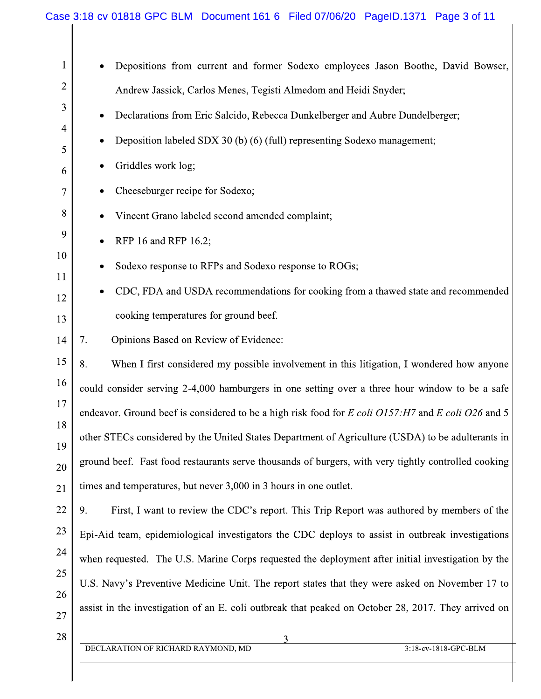| 1        | Depositions from current and former Sodexo employees Jason Boothe, David Bowser,                    |  |  |
|----------|-----------------------------------------------------------------------------------------------------|--|--|
| 2        | Andrew Jassick, Carlos Menes, Tegisti Almedom and Heidi Snyder;                                     |  |  |
| 3        | Declarations from Eric Salcido, Rebecca Dunkelberger and Aubre Dundelberger;<br>$\bullet$           |  |  |
| 4<br>5   | Deposition labeled SDX 30 (b) (6) (full) representing Sodexo management;                            |  |  |
| 6        | Griddles work log;                                                                                  |  |  |
| 7        | Cheeseburger recipe for Sodexo;                                                                     |  |  |
| 8        | Vincent Grano labeled second amended complaint;                                                     |  |  |
| 9        | RFP 16 and RFP 16.2;                                                                                |  |  |
| 10       | Sodexo response to RFPs and Sodexo response to ROGs;                                                |  |  |
| 11       | CDC, FDA and USDA recommendations for cooking from a thawed state and recommended                   |  |  |
| 12<br>13 | cooking temperatures for ground beef.                                                               |  |  |
| 14       | Opinions Based on Review of Evidence:<br>7.                                                         |  |  |
| 15       | 8.<br>When I first considered my possible involvement in this litigation, I wondered how anyone     |  |  |
| 16       | could consider serving 2-4,000 hamburgers in one setting over a three hour window to be a safe      |  |  |
| 17       | endeavor. Ground beef is considered to be a high risk food for E coli O157: H7 and E coli O26 and 5 |  |  |
| 18       | other STECs considered by the United States Department of Agriculture (USDA) to be adulterants in   |  |  |
| 19       | ground beef. Fast food restaurants serve thousands of burgers, with very tightly controlled cooking |  |  |
| 20<br>21 | times and temperatures, but never 3,000 in 3 hours in one outlet.                                   |  |  |
| 22       | 9.<br>First, I want to review the CDC's report. This Trip Report was authored by members of the     |  |  |
| 23       | Epi-Aid team, epidemiological investigators the CDC deploys to assist in outbreak investigations    |  |  |
| 24       | when requested. The U.S. Marine Corps requested the deployment after initial investigation by the   |  |  |
| 25       | U.S. Navy's Preventive Medicine Unit. The report states that they were asked on November 17 to      |  |  |
| 26       | assist in the investigation of an E. coli outbreak that peaked on October 28, 2017. They arrived on |  |  |
| 27       |                                                                                                     |  |  |
| 28       | 3<br>DECLARATION OF RICHARD RAYMOND, MD<br>3:18-cv-1818-GPC-BLM                                     |  |  |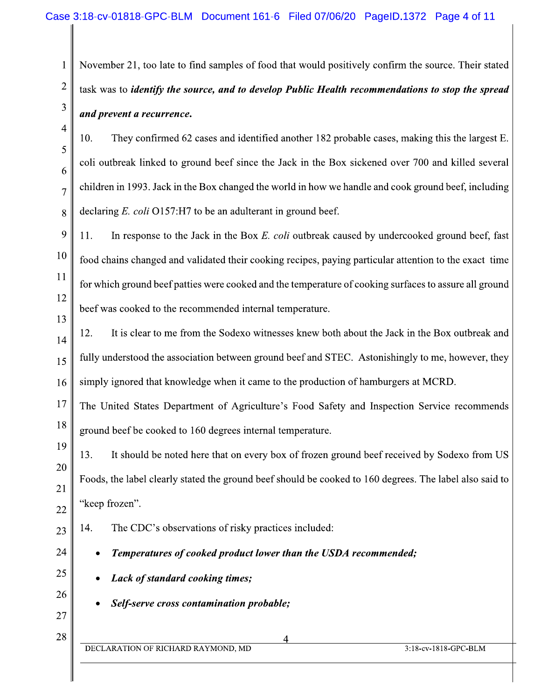November 21, too late to find samples of food that would positively confirm the source. Their stated task was to *identify the source, and to develop Public Health recommendations to stop the spread* and prevent a recurrence.

10. They confirmed 62 cases and identified another 182 probable cases, making this the largest E. coli outbreak linked to ground beef since the Jack in the Box sickened over 700 and killed several children in 1993. Jack in the Box changed the world in how we handle and cook ground beef, including declaring  $E$ . coli O157:H7 to be an adulterant in ground beef.

9 11. In response to the Jack in the Box E. coli outbreak caused by undercooked ground beef, fast 10 food chains changed and validated their cooking recipes, paying particular attention to the exact time 11 for which ground beef patties were cooked and the temperature of cooking surfaces to assure all ground 12 beef was cooked to the recommended internal temperature. 13

It is clear to me from the Sodexo witnesses knew both about the Jack in the Box outbreak and 12. 14 fully understood the association between ground beef and STEC. Astonishingly to me, however, they 15 simply ignored that knowledge when it came to the production of hamburgers at MCRD. 16

17 The United States Department of Agriculture's Food Safety and Inspection Service recommends 18 ground beef be cooked to 160 degrees internal temperature.

13. It should be noted here that on every box of frozen ground beef received by Sodexo from US Foods, the label clearly stated the ground beef should be cooked to 160 degrees. The label also said to "keep frozen".

23

19

20

21

22

24

25

26

27

28

1

 $\overline{2}$ 

3

 $\overline{4}$ 

5

6

 $\overline{7}$ 

- 14. The CDC's observations of risky practices included:
	- Temperatures of cooked product lower than the USDA recommended;
	- Lack of standard cooking times;
	- Self-serve cross contamination probable;
- DECLARATION OF RICHARD RAYMOND, MD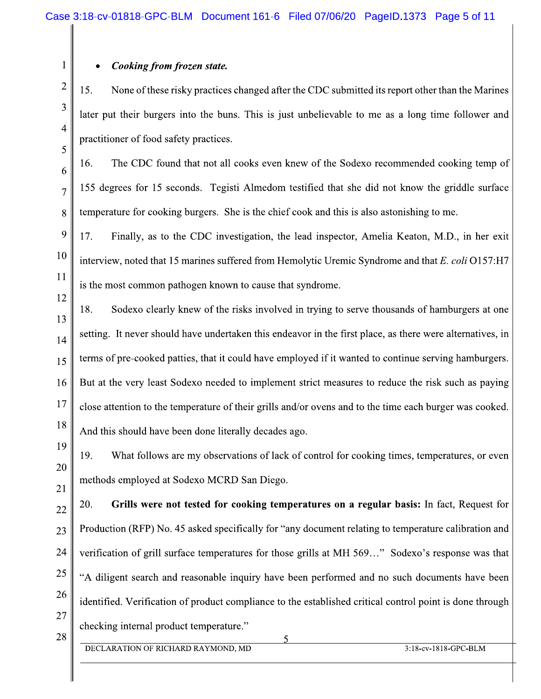## Cooking from frozen state.

1

 $\overline{2}$ 

3

 $\overline{4}$ 

5

6

 $\overline{7}$ 

8

11

12

13

14

15

16

17

18

19

20

21

15. None of these risky practices changed after the CDC submitted its report other than the Marines later put their burgers into the buns. This is just unbelievable to me as a long time follower and practitioner of food safety practices.

16. The CDC found that not all cooks even knew of the Sodexo recommended cooking temp of 155 degrees for 15 seconds. Tegisti Almedom testified that she did not know the griddle surface temperature for cooking burgers. She is the chief cook and this is also astonishing to me.

9 17. Finally, as to the CDC investigation, the lead inspector, Amelia Keaton, M.D., in her exit 10 interview, noted that 15 marines suffered from Hemolytic Uremic Syndrome and that E. coli  $O157:H7$ is the most common pathogen known to cause that syndrome.

18. Sodexo clearly knew of the risks involved in trying to serve thousands of hamburgers at one setting. It never should have undertaken this endeavor in the first place, as there were alternatives, in terms of pre-cooked patties, that it could have employed if it wanted to continue serving hamburgers. But at the very least Sodexo needed to implement strict measures to reduce the risk such as paying close attention to the temperature of their grills and/or ovens and to the time each burger was cooked. And this should have been done literally decades ago.

19. What follows are my observations of lack of control for cooking times, temperatures, or even methods employed at Sodexo MCRD San Diego.

20. Grills were not tested for cooking temperatures on a regular basis: In fact, Request for 22 Production (RFP) No. 45 asked specifically for "any document relating to temperature calibration and 23 24 verification of grill surface temperatures for those grills at MH 569..." Sodexo's response was that 25 "A diligent search and reasonable inquiry have been performed and no such documents have been 26 identified. Verification of product compliance to the established critical control point is done through 27 checking internal product temperature."

28

DECLARATION OF RICHARD RAYMOND, MD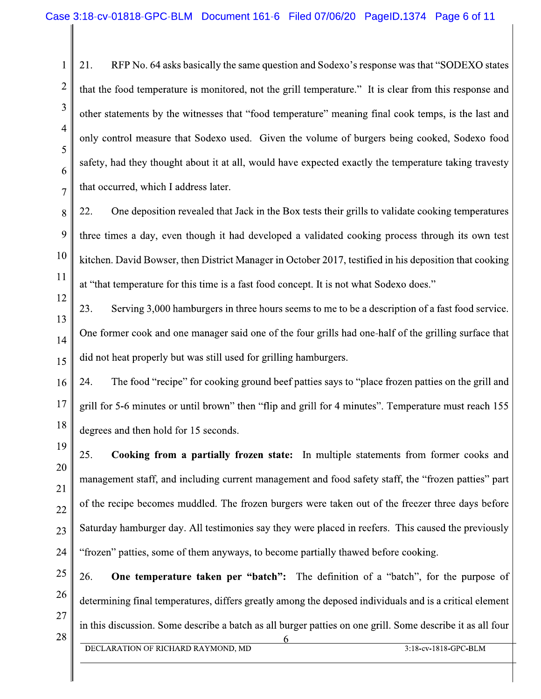21. RFP No. 64 asks basically the same question and Sodexo's response was that "SODEXO states" that the food temperature is monitored, not the grill temperature." It is clear from this response and other statements by the witnesses that "food temperature" meaning final cook temps, is the last and only control measure that Sodexo used. Given the volume of burgers being cooked, Sodexo food safety, had they thought about it at all, would have expected exactly the temperature taking travesty that occurred, which I address later.

22. One deposition revealed that Jack in the Box tests their grills to validate cooking temperatures three times a day, even though it had developed a validated cooking process through its own test kitchen. David Bowser, then District Manager in October 2017, testified in his deposition that cooking at "that temperature for this time is a fast food concept. It is not what Sodexo does."

23. Serving 3,000 hamburgers in three hours seems to me to be a description of a fast food service. One former cook and one manager said one of the four grills had one-half of the grilling surface that did not heat properly but was still used for grilling hamburgers.

The food "recipe" for cooking ground beef patties says to "place frozen patties on the grill and 24. 16 17 grill for 5-6 minutes or until brown" then "flip and grill for 4 minutes". Temperature must reach 155 18 degrees and then hold for 15 seconds.

25. Cooking from a partially frozen state: In multiple statements from former cooks and management staff, and including current management and food safety staff, the "frozen patties" part of the recipe becomes muddled. The frozen burgers were taken out of the freezer three days before Saturday hamburger day. All testimonies say they were placed in reefers. This caused the previously "frozen" patties, some of them anyways, to become partially thawed before cooking.

26. **One temperature taken per "batch":** The definition of a "batch", for the purpose of determining final temperatures, differs greatly among the deposed individuals and is a critical element in this discussion. Some describe a batch as all burger patties on one grill. Some describe it as all four

 $\mathbf{1}$ 

 $\overline{2}$ 

3

 $\overline{4}$ 

5

6

 $\overline{7}$ 

8

9

10

11

12

13

14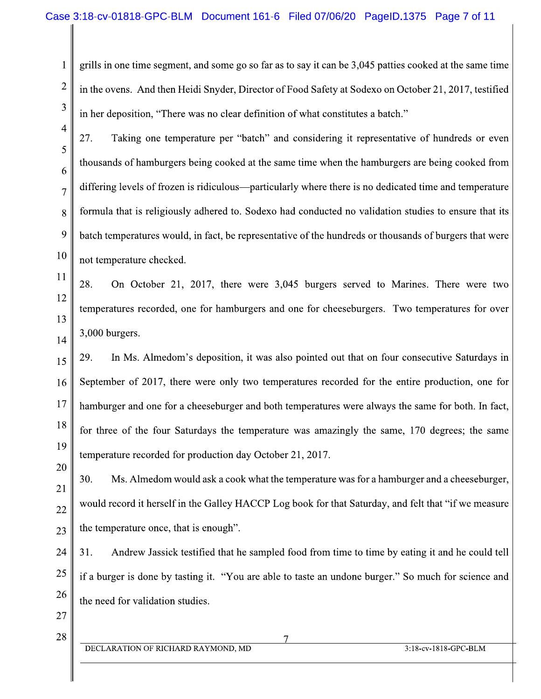grills in one time segment, and some go so far as to say it can be 3,045 patties cooked at the same time in the ovens. And then Heidi Snyder, Director of Food Safety at Sodexo on October 21, 2017, testified in her deposition, "There was no clear definition of what constitutes a batch."

27. Taking one temperature per "batch" and considering it representative of hundreds or even thousands of hamburgers being cooked at the same time when the hamburgers are being cooked from differing levels of frozen is ridiculous—particularly where there is no dedicated time and temperature formula that is religiously adhered to. Sodexo had conducted no validation studies to ensure that its batch temperatures would, in fact, be representative of the hundreds or thousands of burgers that were not temperature checked.

28. On October 21, 2017, there were 3,045 burgers served to Marines. There were two temperatures recorded, one for hamburgers and one for cheeseburgers. Two temperatures for over 3,000 burgers.

29. In Ms. Almedom's deposition, it was also pointed out that on four consecutive Saturdays in 15 September of 2017, there were only two temperatures recorded for the entire production, one for 16 17 hamburger and one for a cheeseburger and both temperatures were always the same for both. In fact, 18 for three of the four Saturdays the temperature was amazingly the same, 170 degrees; the same 19 temperature recorded for production day October 21, 2017.

30. Ms. Almedom would ask a cook what the temperature was for a hamburger and a cheeseburger, would record it herself in the Galley HACCP Log book for that Saturday, and felt that "if we measure the temperature once, that is enough". 23

Andrew Jassick testified that he sampled food from time to time by eating it and he could tell 31. if a burger is done by tasting it. "You are able to taste an undone burger." So much for science and the need for validation studies.

27 28

1

 $\overline{2}$ 

3

 $\overline{4}$ 

5

6

 $\overline{7}$ 

8

9

10

11

12

13

14

20

21

22

24

25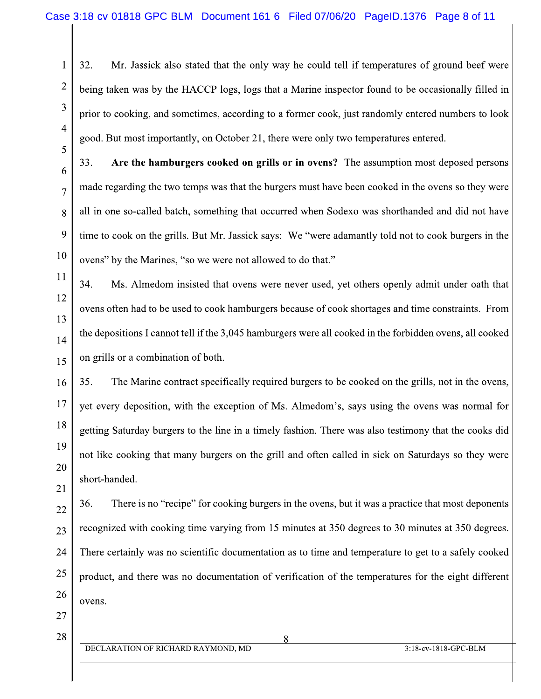32. Mr. Jassick also stated that the only way he could tell if temperatures of ground beef were being taken was by the HACCP logs, logs that a Marine inspector found to be occasionally filled in prior to cooking, and sometimes, according to a former cook, just randomly entered numbers to look good. But most importantly, on October 21, there were only two temperatures entered.

33. Are the hamburgers cooked on grills or in ovens? The assumption most deposed persons made regarding the two temps was that the burgers must have been cooked in the ovens so they were all in one so-called batch, something that occurred when Sodexo was shorthanded and did not have time to cook on the grills. But Mr. Jassick says: We "were adamantly told not to cook burgers in the ovens" by the Marines, "so we were not allowed to do that."

Ms. Almedom insisted that ovens were never used, yet others openly admit under oath that 34. ovens often had to be used to cook hamburgers because of cook shortages and time constraints. From the depositions I cannot tell if the 3,045 hamburgers were all cooked in the forbidden ovens, all cooked on grills or a combination of both.

35. The Marine contract specifically required burgers to be cooked on the grills, not in the ovens, yet every deposition, with the exception of Ms. Almedom's, says using the ovens was normal for getting Saturday burgers to the line in a timely fashion. There was also testimony that the cooks did not like cooking that many burgers on the grill and often called in sick on Saturdays so they were short-handed.

36. There is no "recipe" for cooking burgers in the ovens, but it was a practice that most deponents 22 recognized with cooking time varying from 15 minutes at 350 degrees to 30 minutes at 350 degrees. 23 There certainly was no scientific documentation as to time and temperature to get to a safely cooked 24 25 product, and there was no documentation of verification of the temperatures for the eight different 26 ovens.

27 28

1

 $\overline{2}$ 

3

 $\overline{4}$ 

5

6

 $\overline{7}$ 

8

9

10

11

12

13

14

15

16

17

18

19

20

21

 $\mathsf{\Omega}$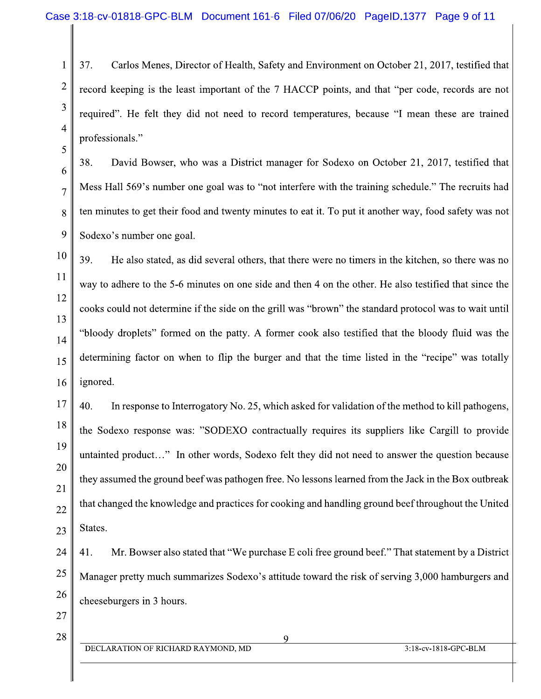37. Carlos Menes, Director of Health, Safety and Environment on October 21, 2017, testified that record keeping is the least important of the 7 HACCP points, and that "per code, records are not required". He felt they did not need to record temperatures, because "I mean these are trained professionals."

38. David Bowser, who was a District manager for Sodexo on October 21, 2017, testified that Mess Hall 569's number one goal was to "not interfere with the training schedule." The recruits had ten minutes to get their food and twenty minutes to eat it. To put it another way, food safety was not Sodexo's number one goal.

39. He also stated, as did several others, that there were no timers in the kitchen, so there was no way to adhere to the 5-6 minutes on one side and then 4 on the other. He also testified that since the cooks could not determine if the side on the grill was "brown" the standard protocol was to wait until "bloody droplets" formed on the patty. A former cook also testified that the bloody fluid was the determining factor on when to flip the burger and that the time listed in the "recipe" was totally ignored.

17 40. In response to Interrogatory No. 25, which asked for validation of the method to kill pathogens, 18 the Sodexo response was: "SODEXO contractually requires its suppliers like Cargill to provide 19 untainted product..." In other words, Sodexo felt they did not need to answer the question because 20 they assumed the ground beef was pathogen free. No lessons learned from the Jack in the Box outbreak 21 that changed the knowledge and practices for cooking and handling ground beef throughout the United 22 States. 23

Mr. Bowser also stated that "We purchase E coli free ground beef." That statement by a District 24 41. 25 Manager pretty much summarizes Sodexo's attitude toward the risk of serving 3,000 hamburgers and 26 cheeseburgers in 3 hours.

27 28

 $\mathbf{1}$ 

 $\overline{2}$ 

3

 $\overline{4}$ 

5

6

 $\overline{7}$ 

8

9

10

11

12

13

14

15

16

 $\mathbf Q$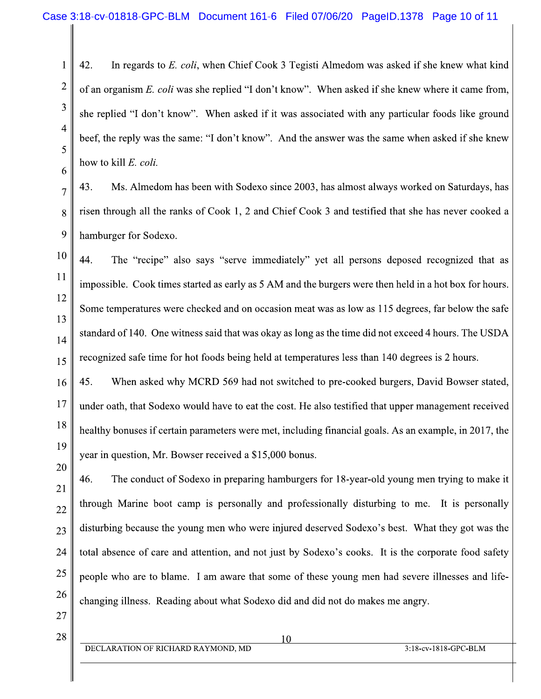42. In regards to E. coli, when Chief Cook 3 Tegisti Almedom was asked if she knew what kind of an organism E. coli was she replied "I don't know". When asked if she knew where it came from, she replied "I don't know". When asked if it was associated with any particular foods like ground beef, the reply was the same: "I don't know". And the answer was the same when asked if she knew how to kill E. coli.

43. Ms. Almedom has been with Sodexo since 2003, has almost always worked on Saturdays, has risen through all the ranks of Cook 1, 2 and Chief Cook 3 and testified that she has never cooked a hamburger for Sodexo.

44. The "recipe" also says "serve immediately" yet all persons deposed recognized that as impossible. Cook times started as early as 5 AM and the burgers were then held in a hot box for hours. Some temperatures were checked and on occasion meat was as low as 115 degrees, far below the safe standard of 140. One witness said that was okay as long as the time did not exceed 4 hours. The USDA recognized safe time for hot foods being held at temperatures less than 140 degrees is 2 hours.

45. When asked why MCRD 569 had not switched to pre-cooked burgers, David Bowser stated, 16 17 under oath, that Sodexo would have to eat the cost. He also testified that upper management received 18 healthy bonuses if certain parameters were met, including financial goals. As an example, in 2017, the 19 year in question, Mr. Bowser received a \$15,000 bonus.

46. The conduct of Sodexo in preparing hamburgers for 18-year-old young men trying to make it 21 through Marine boot camp is personally and professionally disturbing to me. It is personally 22 disturbing because the young men who were injured deserved Sodexo's best. What they got was the 23 total absence of care and attention, and not just by Sodexo's cooks. It is the corporate food safety 24 25 people who are to blame. I am aware that some of these young men had severe illnesses and life-26 changing illness. Reading about what Sodexo did and did not do makes me angry.

27 28

 $\mathbf{1}$ 

 $\overline{2}$ 

3

 $\overline{4}$ 

5

6

 $\overline{7}$ 

8

9

10

11

12

13

14

15

20

DECLARATION OF RICHARD RAYMOND, MD